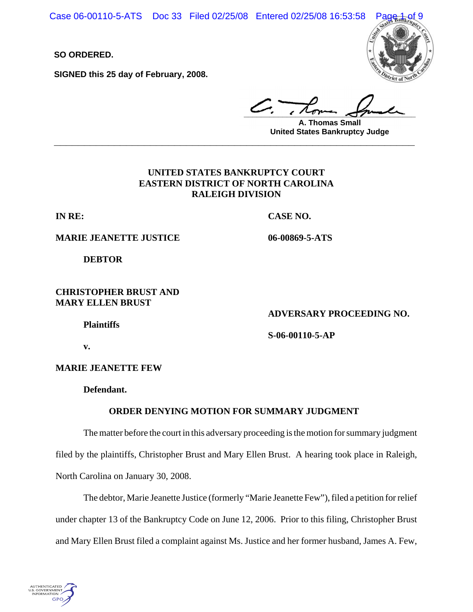Case 06-00110-5-ATS Doc 33 Filed 02/25/08 Entered 02/25/08 16:53:58

**SO ORDERED.**

**SIGNED this 25 day of February, 2008.**



**\_\_\_\_\_\_\_\_\_\_\_\_\_\_\_\_\_\_\_\_\_\_\_\_\_\_\_\_\_\_\_\_\_\_\_\_\_\_\_\_**

**A. Thomas Small United States Bankruptcy Judge \_\_\_\_\_\_\_\_\_\_\_\_\_\_\_\_\_\_\_\_\_\_\_\_\_\_\_\_\_\_\_\_\_\_\_\_\_\_\_\_\_\_\_\_\_\_\_\_\_\_\_\_\_\_\_\_\_\_\_\_**

## **UNITED STATES BANKRUPTCY COURT EASTERN DISTRICT OF NORTH CAROLINA RALEIGH DIVISION**

**IN RE:**

**CASE NO.**

**06-00869-5-ATS**

**MARIE JEANETTE JUSTICE** 

**DEBTOR**

### **CHRISTOPHER BRUST AND MARY ELLEN BRUST**

**ADVERSARY PROCEEDING NO.**

**Plaintiffs**

**S-06-00110-5-AP** 

**v.**

**MARIE JEANETTE FEW**

**Defendant.**

## **ORDER DENYING MOTION FOR SUMMARY JUDGMENT**

The matter before the court in this adversary proceeding is the motion for summary judgment filed by the plaintiffs, Christopher Brust and Mary Ellen Brust. A hearing took place in Raleigh, North Carolina on January 30, 2008.

The debtor, Marie Jeanette Justice (formerly "Marie Jeanette Few"), filed a petition for relief under chapter 13 of the Bankruptcy Code on June 12, 2006. Prior to this filing, Christopher Brust and Mary Ellen Brust filed a complaint against Ms. Justice and her former husband, James A. Few,

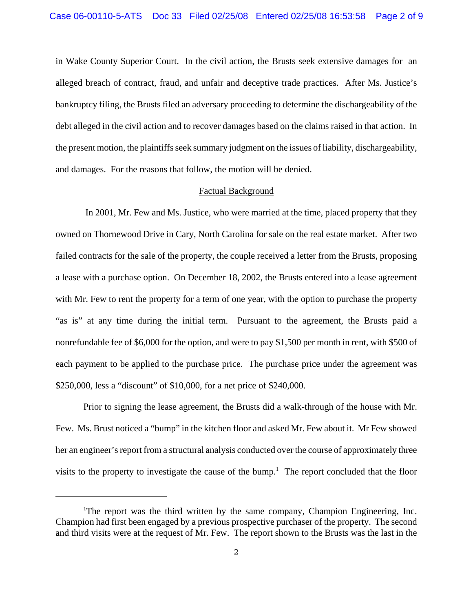in Wake County Superior Court. In the civil action, the Brusts seek extensive damages for an alleged breach of contract, fraud, and unfair and deceptive trade practices. After Ms. Justice's bankruptcy filing, the Brusts filed an adversary proceeding to determine the dischargeability of the debt alleged in the civil action and to recover damages based on the claims raised in that action. In the present motion, the plaintiffs seek summary judgment on the issues of liability, dischargeability, and damages. For the reasons that follow, the motion will be denied.

### Factual Background

 In 2001, Mr. Few and Ms. Justice, who were married at the time, placed property that they owned on Thornewood Drive in Cary, North Carolina for sale on the real estate market. After two failed contracts for the sale of the property, the couple received a letter from the Brusts, proposing a lease with a purchase option. On December 18, 2002, the Brusts entered into a lease agreement with Mr. Few to rent the property for a term of one year, with the option to purchase the property "as is" at any time during the initial term. Pursuant to the agreement, the Brusts paid a nonrefundable fee of \$6,000 for the option, and were to pay \$1,500 per month in rent, with \$500 of each payment to be applied to the purchase price. The purchase price under the agreement was \$250,000, less a "discount" of \$10,000, for a net price of \$240,000.

Prior to signing the lease agreement, the Brusts did a walk-through of the house with Mr. Few. Ms. Brust noticed a "bump" in the kitchen floor and asked Mr. Few about it. Mr Few showed her an engineer's report from a structural analysis conducted over the course of approximately three visits to the property to investigate the cause of the bump.<sup>1</sup> The report concluded that the floor

<sup>&</sup>lt;sup>1</sup>The report was the third written by the same company, Champion Engineering, Inc. Champion had first been engaged by a previous prospective purchaser of the property. The second and third visits were at the request of Mr. Few. The report shown to the Brusts was the last in the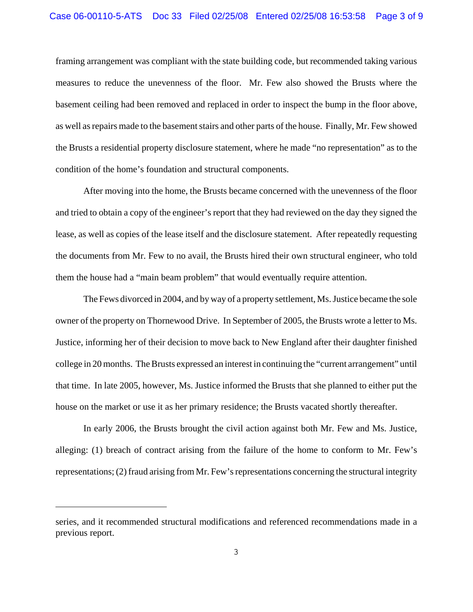framing arrangement was compliant with the state building code, but recommended taking various measures to reduce the unevenness of the floor. Mr. Few also showed the Brusts where the basement ceiling had been removed and replaced in order to inspect the bump in the floor above, as well as repairs made to the basement stairs and other parts of the house. Finally, Mr. Few showed the Brusts a residential property disclosure statement, where he made "no representation" as to the condition of the home's foundation and structural components.

After moving into the home, the Brusts became concerned with the unevenness of the floor and tried to obtain a copy of the engineer's report that they had reviewed on the day they signed the lease, as well as copies of the lease itself and the disclosure statement. After repeatedly requesting the documents from Mr. Few to no avail, the Brusts hired their own structural engineer, who told them the house had a "main beam problem" that would eventually require attention.

The Fews divorced in 2004, and by way of a property settlement, Ms. Justice became the sole owner of the property on Thornewood Drive. In September of 2005, the Brusts wrote a letter to Ms. Justice, informing her of their decision to move back to New England after their daughter finished college in 20 months. The Brusts expressed an interest in continuing the "current arrangement" until that time. In late 2005, however, Ms. Justice informed the Brusts that she planned to either put the house on the market or use it as her primary residence; the Brusts vacated shortly thereafter.

In early 2006, the Brusts brought the civil action against both Mr. Few and Ms. Justice, alleging: (1) breach of contract arising from the failure of the home to conform to Mr. Few's representations; (2) fraud arising from Mr. Few's representations concerning the structural integrity

series, and it recommended structural modifications and referenced recommendations made in a previous report.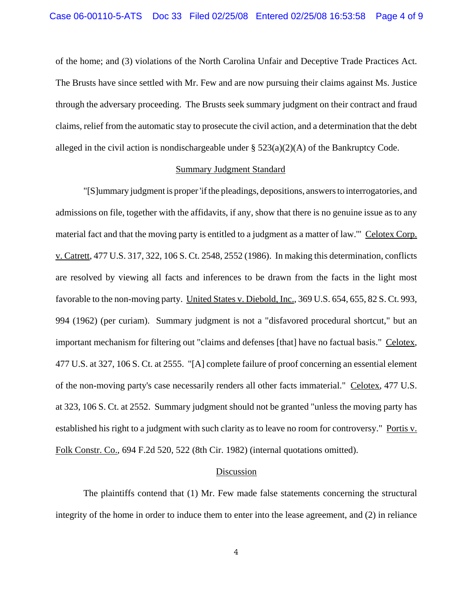of the home; and (3) violations of the North Carolina Unfair and Deceptive Trade Practices Act. The Brusts have since settled with Mr. Few and are now pursuing their claims against Ms. Justice through the adversary proceeding. The Brusts seek summary judgment on their contract and fraud claims, relief from the automatic stay to prosecute the civil action, and a determination that the debt alleged in the civil action is nondischargeable under  $\S$  523(a)(2)(A) of the Bankruptcy Code.

### Summary Judgment Standard

"[S]ummary judgment is proper 'if the pleadings, depositions, answers to interrogatories, and admissions on file, together with the affidavits, if any, show that there is no genuine issue as to any material fact and that the moving party is entitled to a judgment as a matter of law.'" Celotex Corp. v. Catrett, 477 U.S. 317, 322, 106 S. Ct. 2548, 2552 (1986). In making this determination, conflicts are resolved by viewing all facts and inferences to be drawn from the facts in the light most favorable to the non-moving party. United States v. Diebold, Inc., 369 U.S. 654, 655, 82 S. Ct. 993, 994 (1962) (per curiam). Summary judgment is not a "disfavored procedural shortcut," but an important mechanism for filtering out "claims and defenses [that] have no factual basis." Celotex, 477 U.S. at 327, 106 S. Ct. at 2555. "[A] complete failure of proof concerning an essential element of the non-moving party's case necessarily renders all other facts immaterial." Celotex, 477 U.S. at 323, 106 S. Ct. at 2552. Summary judgment should not be granted "unless the moving party has established his right to a judgment with such clarity as to leave no room for controversy." Portis v. Folk Constr. Co., 694 F.2d 520, 522 (8th Cir. 1982) (internal quotations omitted).

#### Discussion

The plaintiffs contend that (1) Mr. Few made false statements concerning the structural integrity of the home in order to induce them to enter into the lease agreement, and (2) in reliance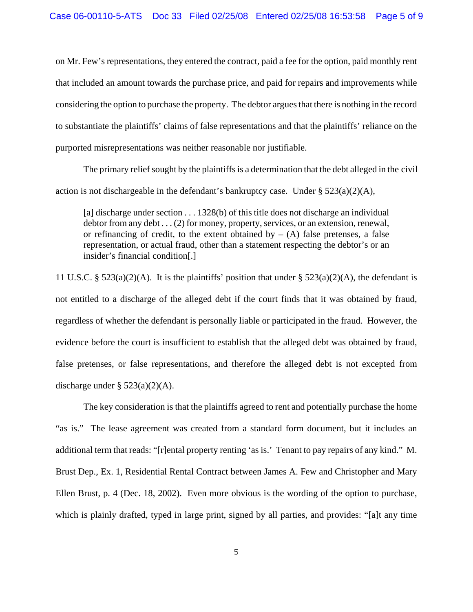on Mr. Few's representations, they entered the contract, paid a fee for the option, paid monthly rent that included an amount towards the purchase price, and paid for repairs and improvements while considering the option to purchase the property. The debtor argues that there is nothing in the record to substantiate the plaintiffs' claims of false representations and that the plaintiffs' reliance on the purported misrepresentations was neither reasonable nor justifiable.

 The primary relief sought by the plaintiffs is a determination that the debt alleged in the civil action is not dischargeable in the defendant's bankruptcy case. Under § 523(a)(2)(A),

[a] discharge under section . . . 1328(b) of this title does not discharge an individual debtor from any debt . . . (2) for money, property, services, or an extension, renewal, or refinancing of credit, to the extent obtained by  $- (A)$  false pretenses, a false representation, or actual fraud, other than a statement respecting the debtor's or an insider's financial condition[.]

11 U.S.C. § 523(a)(2)(A). It is the plaintiffs' position that under § 523(a)(2)(A), the defendant is not entitled to a discharge of the alleged debt if the court finds that it was obtained by fraud, regardless of whether the defendant is personally liable or participated in the fraud. However, the evidence before the court is insufficient to establish that the alleged debt was obtained by fraud, false pretenses, or false representations, and therefore the alleged debt is not excepted from discharge under  $\S$  523(a)(2)(A).

The key consideration is that the plaintiffs agreed to rent and potentially purchase the home "as is." The lease agreement was created from a standard form document, but it includes an additional term that reads: "[r]ental property renting 'as is.' Tenant to pay repairs of any kind." M. Brust Dep., Ex. 1, Residential Rental Contract between James A. Few and Christopher and Mary Ellen Brust, p. 4 (Dec. 18, 2002). Even more obvious is the wording of the option to purchase, which is plainly drafted, typed in large print, signed by all parties, and provides: "[a]t any time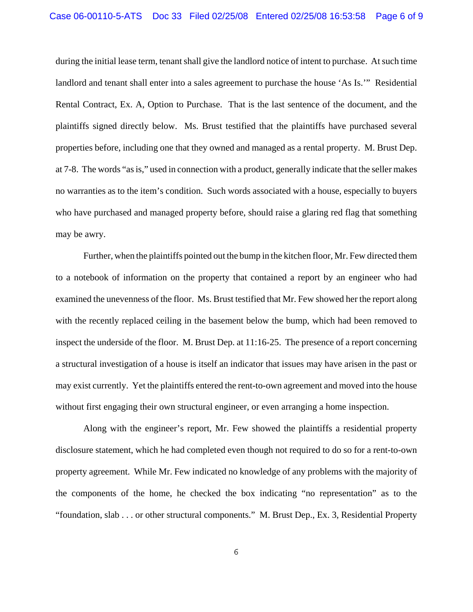during the initial lease term, tenant shall give the landlord notice of intent to purchase. At such time landlord and tenant shall enter into a sales agreement to purchase the house 'As Is.'" Residential Rental Contract, Ex. A, Option to Purchase. That is the last sentence of the document, and the plaintiffs signed directly below. Ms. Brust testified that the plaintiffs have purchased several properties before, including one that they owned and managed as a rental property. M. Brust Dep. at 7-8. The words "as is," used in connection with a product, generally indicate that the seller makes no warranties as to the item's condition. Such words associated with a house, especially to buyers who have purchased and managed property before, should raise a glaring red flag that something may be awry.

Further, when the plaintiffs pointed out the bump in the kitchen floor, Mr. Few directed them to a notebook of information on the property that contained a report by an engineer who had examined the unevenness of the floor. Ms. Brust testified that Mr. Few showed her the report along with the recently replaced ceiling in the basement below the bump, which had been removed to inspect the underside of the floor. M. Brust Dep. at 11:16-25. The presence of a report concerning a structural investigation of a house is itself an indicator that issues may have arisen in the past or may exist currently. Yet the plaintiffs entered the rent-to-own agreement and moved into the house without first engaging their own structural engineer, or even arranging a home inspection.

Along with the engineer's report, Mr. Few showed the plaintiffs a residential property disclosure statement, which he had completed even though not required to do so for a rent-to-own property agreement. While Mr. Few indicated no knowledge of any problems with the majority of the components of the home, he checked the box indicating "no representation" as to the "foundation, slab . . . or other structural components." M. Brust Dep., Ex. 3, Residential Property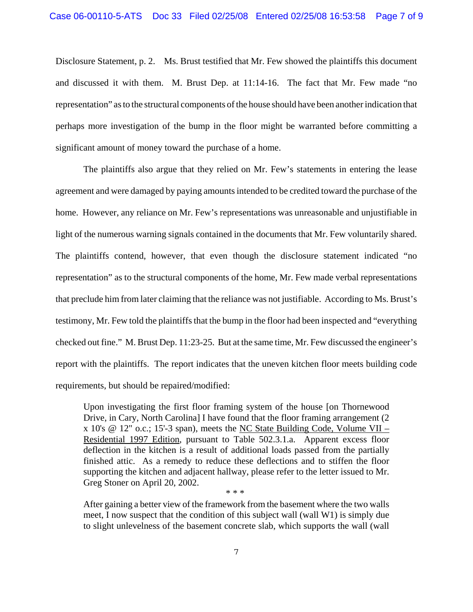Disclosure Statement, p. 2. Ms. Brust testified that Mr. Few showed the plaintiffs this document and discussed it with them. M. Brust Dep. at 11:14-16. The fact that Mr. Few made "no representation" as to the structural components of the house should have been another indication that perhaps more investigation of the bump in the floor might be warranted before committing a significant amount of money toward the purchase of a home.

The plaintiffs also argue that they relied on Mr. Few's statements in entering the lease agreement and were damaged by paying amounts intended to be credited toward the purchase of the home. However, any reliance on Mr. Few's representations was unreasonable and unjustifiable in light of the numerous warning signals contained in the documents that Mr. Few voluntarily shared. The plaintiffs contend, however, that even though the disclosure statement indicated "no representation" as to the structural components of the home, Mr. Few made verbal representations that preclude him from later claiming that the reliance was not justifiable. According to Ms. Brust's testimony, Mr. Few told the plaintiffs that the bump in the floor had been inspected and "everything checked out fine." M. Brust Dep. 11:23-25. But at the same time, Mr. Few discussed the engineer's report with the plaintiffs. The report indicates that the uneven kitchen floor meets building code requirements, but should be repaired/modified:

Upon investigating the first floor framing system of the house [on Thornewood Drive, in Cary, North Carolina] I have found that the floor framing arrangement (2) x 10's @ 12" o.c.; 15'-3 span), meets the NC State Building Code, Volume VII – Residential 1997 Edition, pursuant to Table 502.3.1.a. Apparent excess floor deflection in the kitchen is a result of additional loads passed from the partially finished attic. As a remedy to reduce these deflections and to stiffen the floor supporting the kitchen and adjacent hallway, please refer to the letter issued to Mr. Greg Stoner on April 20, 2002.

After gaining a better view of the framework from the basement where the two walls meet, I now suspect that the condition of this subject wall (wall W1) is simply due to slight unlevelness of the basement concrete slab, which supports the wall (wall

\* \* \*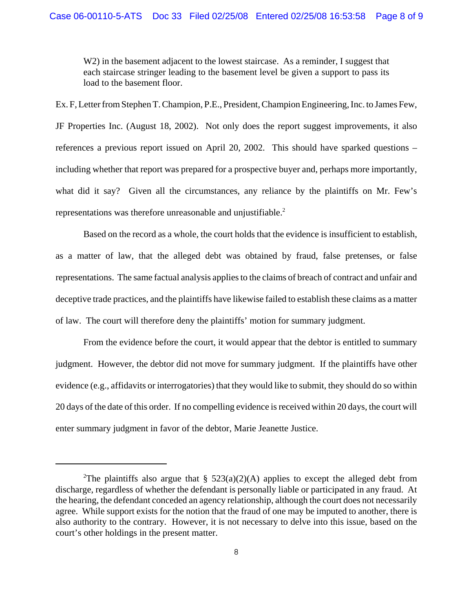W<sub>2</sub>) in the basement adjacent to the lowest staircase. As a reminder, I suggest that each staircase stringer leading to the basement level be given a support to pass its load to the basement floor.

Ex. F, Letter from Stephen T. Champion, P.E., President, Champion Engineering, Inc. to James Few, JF Properties Inc. (August 18, 2002). Not only does the report suggest improvements, it also references a previous report issued on April 20, 2002. This should have sparked questions – including whether that report was prepared for a prospective buyer and, perhaps more importantly, what did it say? Given all the circumstances, any reliance by the plaintiffs on Mr. Few's representations was therefore unreasonable and unjustifiable.<sup>2</sup>

Based on the record as a whole, the court holds that the evidence is insufficient to establish, as a matter of law, that the alleged debt was obtained by fraud, false pretenses, or false representations. The same factual analysis applies to the claims of breach of contract and unfair and deceptive trade practices, and the plaintiffs have likewise failed to establish these claims as a matter of law. The court will therefore deny the plaintiffs' motion for summary judgment.

From the evidence before the court, it would appear that the debtor is entitled to summary judgment. However, the debtor did not move for summary judgment. If the plaintiffs have other evidence (e.g., affidavits or interrogatories) that they would like to submit, they should do so within 20 days of the date of this order. If no compelling evidence is received within 20 days, the court will enter summary judgment in favor of the debtor, Marie Jeanette Justice.

<sup>&</sup>lt;sup>2</sup>The plaintiffs also argue that § 523(a)(2)(A) applies to except the alleged debt from discharge, regardless of whether the defendant is personally liable or participated in any fraud. At the hearing, the defendant conceded an agency relationship, although the court does not necessarily agree. While support exists for the notion that the fraud of one may be imputed to another, there is also authority to the contrary. However, it is not necessary to delve into this issue, based on the court's other holdings in the present matter.